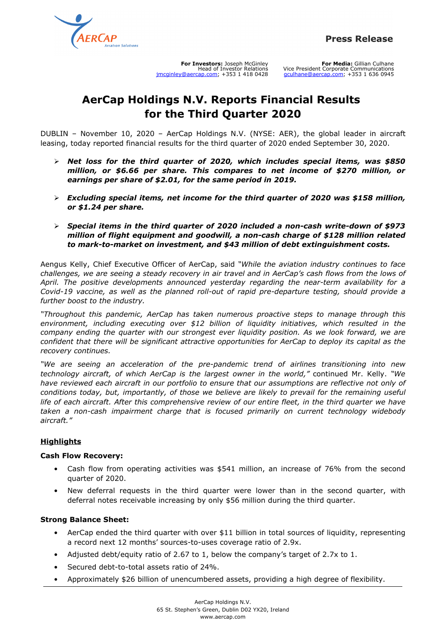<span id="page-0-0"></span>

**For Investors:** Joseph McGinley Head of Investor Relations jmcginley@aercap.com; +353 1 418 0428

# **AerCap Holdings N.V. Reports Financial Results for the Third Quarter 2020**

DUBLIN – November 10, 2020 – AerCap Holdings N.V. (NYSE: AER), the global leader in aircraft leasing, today reported financial results for the third quarter of 2020 ended September 30, 2020.

- Ø *Net loss for the third quarter of 2020, which includes special items, was \$850 million, or \$6.66 per share. This compares to net income of \$270 million, or earnings per share of \$2.01, for the same period in 2019.*
- Ø *Excluding special items, net income for the third quarter of 2020 was \$158 million, or \$1.24 per share.*
- Ø *Special items in the third quarter of 2020 included a non-cash write-down of \$973 million of flight equipment and goodwill, a non-cash charge of \$128 million related to mark-to-market on investment, and \$43 million of debt extinguishment costs.*

Aengus Kelly, Chief Executive Officer of AerCap, said *"While the aviation industry continues to face challenges, we are seeing a steady recovery in air travel and in AerCap's cash flows from the lows of April. The positive developments announced yesterday regarding the near-term availability for a Covid-19 vaccine, as well as the planned roll-out of rapid pre-departure testing, should provide a further boost to the industry.* 

*"Throughout this pandemic, AerCap has taken numerous proactive steps to manage through this environment, including executing over \$12 billion of liquidity initiatives, which resulted in the company ending the quarter with our strongest ever liquidity position. As we look forward, we are confident that there will be significant attractive opportunities for AerCap to deploy its capital as the recovery continues.*

*"We are seeing an acceleration of the pre-pandemic trend of airlines transitioning into new technology aircraft, of which AerCap is the largest owner in the world,"* continued Mr. Kelly. *"We have reviewed each aircraft in our portfolio to ensure that our assumptions are reflective not only of conditions today, but, importantly, of those we believe are likely to prevail for the remaining useful life of each aircraft. After this comprehensive review of our entire fleet, in the third quarter we have taken a non-cash impairment charge that is focused primarily on current technology widebody aircraft."*

## **Highlights**

#### **Cash Flow Recovery:**

- Cash flow from operating activities was \$541 million, an increase of 76% from the second quarter of 2020.
- New deferral requests in the third quarter were lower than in the second quarter, with deferral notes receivable increasing by only \$56 million during the third quarter.

#### **Strong Balance Sheet:**

- AerCap ended the third quarter with over \$11 billion in total sources of liquidity, representing a record next 12 months' sources-to-uses coverage ratio of 2.9x.
- Adjusted debt/equity ratio of 2.67 to 1, below the company's target of 2.7x to 1.
- Secured debt-to-total assets ratio of 24%.
- Approximately \$26 billion of unencumbered assets, providing a high degree of flexibility.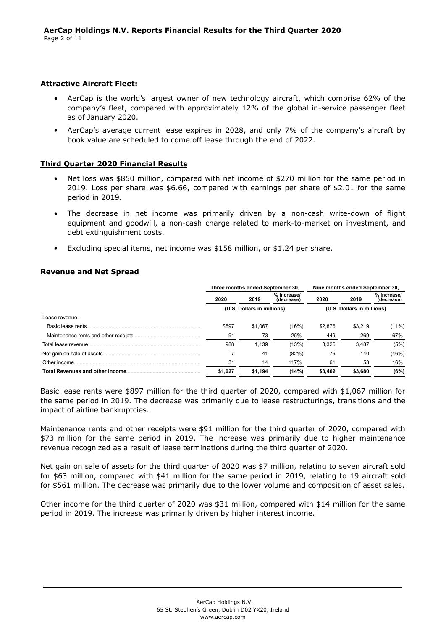#### **Attractive Aircraft Fleet:**

- AerCap is the world's largest owner of new technology aircraft, which comprise 62% of the company's fleet, compared with approximately 12% of the global in-service passenger fleet as of January 2020.
- AerCap's average current lease expires in 2028, and only 7% of the company's aircraft by book value are scheduled to come off lease through the end of 2022.

#### **Third Quarter 2020 Financial Results**

- Net loss was \$850 million, compared with net income of \$270 million for the same period in 2019. Loss per share was \$6.66, compared with earnings per share of \$2.01 for the same period in 2019.
- The decrease in net income was primarily driven by a non-cash write-down of flight equipment and goodwill, a non-cash charge related to mark-to-market on investment, and debt extinguishment costs.
- Excluding special items, net income was \$158 million, or \$1.24 per share.

#### **Revenue and Net Spread**

|                                         | Three months ended September 30, |         | Nine months ended September 30, |         |         |                           |
|-----------------------------------------|----------------------------------|---------|---------------------------------|---------|---------|---------------------------|
|                                         | 2020                             | 2019    | % increase/<br>(decrease)       | 2020    | 2019    | % increase/<br>(decrease) |
|                                         | (U.S. Dollars in millions)       |         | (U.S. Dollars in millions)      |         |         |                           |
| Lease revenue:                          |                                  |         |                                 |         |         |                           |
| Basic lease rents.                      | \$897                            | \$1.067 | (16%)                           | \$2.876 | \$3.219 | (11%)                     |
| Maintenance rents and other receipts.   | 91                               | 73      | 25%                             | 449     | 269     | 67%                       |
| Total lease revenue.                    | 988                              | 1.139   | (13%)                           | 3.326   | 3.487   | (5%)                      |
| Net gain on sale of assets              |                                  | 41      | (82%)                           | 76      | 140     | (46%)                     |
| Other income.                           | 31                               | 14      | 117%                            | 61      | 53      | 16%                       |
| <b>Total Revenues and other income.</b> | \$1,027                          | \$1,194 | (14%)                           | \$3,462 | \$3,680 | (6%)                      |

Basic lease rents were \$897 million for the third quarter of 2020, compared with \$1,067 million for the same period in 2019. The decrease was primarily due to lease restructurings, transitions and the impact of airline bankruptcies.

Maintenance rents and other receipts were \$91 million for the third quarter of 2020, compared with \$73 million for the same period in 2019. The increase was primarily due to higher maintenance revenue recognized as a result of lease terminations during the third quarter of 2020.

Net gain on sale of assets for the third quarter of 2020 was \$7 million, relating to seven aircraft sold for \$63 million, compared with \$41 million for the same period in 2019, relating to 19 aircraft sold for \$561 million. The decrease was primarily due to the lower volume and composition of asset sales.

Other income for the third quarter of 2020 was \$31 million, compared with \$14 million for the same period in 2019. The increase was primarily driven by higher interest income.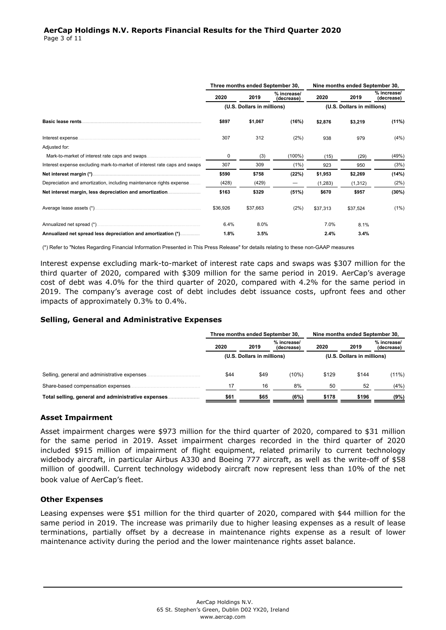|                                                                           |          | Three months ended September 30, |                           |          | Nine months ended September 30, |                           |
|---------------------------------------------------------------------------|----------|----------------------------------|---------------------------|----------|---------------------------------|---------------------------|
|                                                                           | 2020     | 2019                             | % increase/<br>(decrease) | 2020     | 2019                            | % increase/<br>(decrease) |
|                                                                           |          | (U.S. Dollars in millions)       |                           |          | (U.S. Dollars in millions)      |                           |
| Basic lease rents                                                         | \$897    | \$1,067                          | (16%)                     | \$2,876  | \$3,219                         | $(11\%)$                  |
|                                                                           | 307      | 312                              | (2%)                      | 938      | 979                             | (4%)                      |
| Adjusted for:                                                             |          |                                  |                           |          |                                 |                           |
|                                                                           | 0        | (3)                              | $(100\%)$                 | (15)     | (29)                            | (49%)                     |
| Interest expense excluding mark-to-market of interest rate caps and swaps | 307      | 309                              | (1%)                      | 923      | 950                             | (3%)                      |
|                                                                           | \$590    | \$758                            | (22%)                     | \$1,953  | \$2,269                         | (14%)                     |
| Depreciation and amortization, including maintenance rights expense       | (428)    | (429)                            |                           | (1,283)  | (1, 312)                        | (2%)                      |
| Net interest margin, less depreciation and amortization                   | \$163    | \$329                            | (51%)                     | \$670    | \$957                           | (30%)                     |
|                                                                           | \$36,926 | \$37,663                         | (2%)                      | \$37,313 | \$37,524                        | (1%)                      |
|                                                                           | 6.4%     | 8.0%                             |                           | 7.0%     | 8.1%                            |                           |
| Annualized net spread less depreciation and amortization (*)              | 1.8%     | 3.5%                             |                           | 2.4%     | 3.4%                            |                           |

(\*) Refer to "Notes Regarding Financial Information Presented in This Press Release" for details relating to these non-GAAP measures

Interest expense excluding mark-to-market of interest rate caps and swaps was \$307 million for the third quarter of 2020, compared with \$309 million for the same period in 2019. AerCap's average cost of debt was 4.0% for the third quarter of 2020, compared with 4.2% for the same period in 2019. The company's average cost of debt includes debt issuance costs, upfront fees and other impacts of approximately 0.3% to 0.4%.

#### **Selling, General and Administrative Expenses**

|                                                     | Three months ended September 30, |      | Nine months ended September 30, |       |       |                           |
|-----------------------------------------------------|----------------------------------|------|---------------------------------|-------|-------|---------------------------|
|                                                     | 2020                             | 2019 | % increase/<br>(decrease)       | 2020  | 2019  | % increase/<br>(decrease) |
|                                                     | (U.S. Dollars in millions)       |      | (U.S. Dollars in millions)      |       |       |                           |
| Selling, general and administrative expenses.       | \$44                             | \$49 | $(10\%)$                        | \$129 | \$144 | (11%)                     |
| Share-based compensation expenses.                  | 17                               | 16   | 8%                              | 50    | 52    | (4%)                      |
| Total selling, general and administrative expenses. | \$61                             | \$65 | (6%)                            | \$178 | \$196 | (9%)                      |

#### **Asset Impairment**

Asset impairment charges were \$973 million for the third quarter of 2020, compared to \$31 million for the same period in 2019. Asset impairment charges recorded in the third quarter of 2020 included \$915 million of impairment of flight equipment, related primarily to current technology widebody aircraft, in particular Airbus A330 and Boeing 777 aircraft, as well as the write-off of \$58 million of goodwill. Current technology widebody aircraft now represent less than 10% of the net book value of AerCap's fleet.

#### **Other Expenses**

Leasing expenses were \$51 million for the third quarter of 2020, compared with \$44 million for the same period in 2019. The increase was primarily due to higher leasing expenses as a result of lease terminations, partially offset by a decrease in maintenance rights expense as a result of lower maintenance activity during the period and the lower maintenance rights asset balance.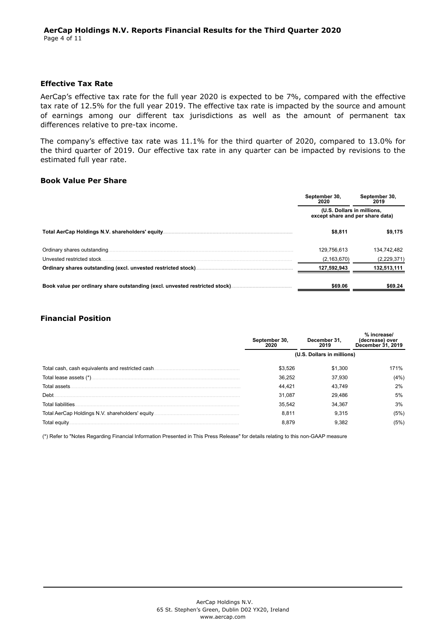#### **Effective Tax Rate**

AerCap's effective tax rate for the full year 2020 is expected to be 7%, compared with the effective tax rate of 12.5% for the full year 2019. The effective tax rate is impacted by the source and amount of earnings among our different tax jurisdictions as well as the amount of permanent tax differences relative to pre-tax income.

The company's effective tax rate was 11.1% for the third quarter of 2020, compared to 13.0% for the third quarter of 2019. Our effective tax rate in any quarter can be impacted by revisions to the estimated full year rate.

#### **Book Value Per Share**

|                                                                              | September 30,<br>2020                                          | September 30,<br>2019 |  |
|------------------------------------------------------------------------------|----------------------------------------------------------------|-----------------------|--|
|                                                                              | (U.S. Dollars in millions,<br>except share and per share data) |                       |  |
| Total AerCap Holdings N.V. shareholders' equity                              | \$8.811                                                        | \$9.175               |  |
| Ordinary shares outstanding.                                                 | 129.756.613                                                    | 134,742,482           |  |
| Unvested restricted stock.                                                   | (2, 163, 670)                                                  | (2,229,371)           |  |
|                                                                              | 127,592,943                                                    | 132,513,111           |  |
| Book value per ordinary share outstanding (excl. unvested restricted stock). | \$69.06                                                        | \$69.24               |  |

#### **Financial Position**

|                    | September 30,<br>2020      | December 31,<br>2019 | % increase/<br>(decrease) over<br>December 31, 2019 |
|--------------------|----------------------------|----------------------|-----------------------------------------------------|
|                    | (U.S. Dollars in millions) |                      |                                                     |
|                    | \$3.526                    | \$1.300              | 171%                                                |
|                    | 36.252                     | 37.930               | (4%)                                                |
| Total assets.      | 44.421                     | 43.749               | 2%                                                  |
| Debt               | 31.087                     | 29,486               | 5%                                                  |
| Total liabilities. | 35,542                     | 34.367               | 3%                                                  |
|                    | 8.811                      | 9.315                | (5%)                                                |
| Total equity.      | 8.879                      | 9.382                | (5%)                                                |

(\*) Refer to "Notes Regarding Financial Information Presented in This Press Release" for details relating to this non-GAAP measure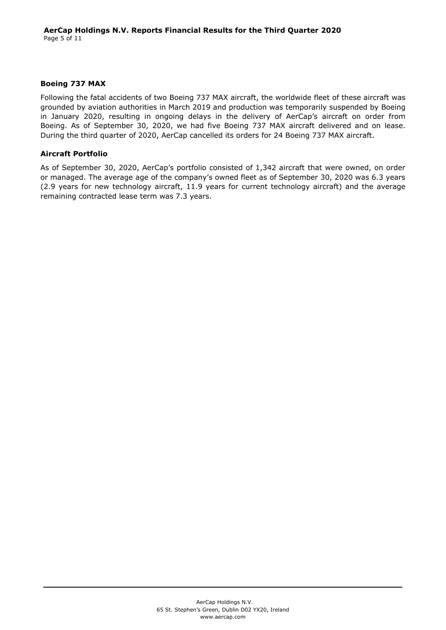#### **Boeing 737 MAX**

Following the fatal accidents of two Boeing 737 MAX aircraft, the worldwide fleet of these aircraft was grounded by aviation authorities in March 2019 and production was temporarily suspended by Boeing in January 2020, resulting in ongoing delays in the delivery of AerCap's aircraft on order from Boeing. As of September 30, 2020, we had five Boeing 737 MAX aircraft delivered and on lease. During the third quarter of 2020, AerCap cancelled its orders for 24 Boeing 737 MAX aircraft.

#### **Aircraft Portfolio**

As of September 30, 2020, AerCap's portfolio consisted of 1,342 aircraft that were owned, on order or managed. The average age of the company's owned fleet as of September 30, 2020 was 6.3 years (2.9 years for new technology aircraft, 11.9 years for current technology aircraft) and the average remaining contracted lease term was 7.3 years.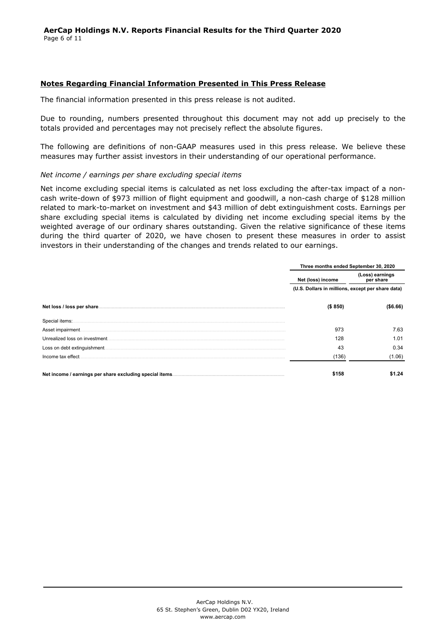#### **Notes Regarding Financial Information Presented in This Press Release**

The financial information presented in this press release is not audited.

Due to rounding, numbers presented throughout this document may not add up precisely to the totals provided and percentages may not precisely reflect the absolute figures.

The following are definitions of non-GAAP measures used in this press release. We believe these measures may further assist investors in their understanding of our operational performance.

#### *Net income / earnings per share excluding special items*

Net income excluding special items is calculated as net loss excluding the after-tax impact of a noncash write-down of \$973 million of flight equipment and goodwill, a non-cash charge of \$128 million related to mark-to-market on investment and \$43 million of debt extinguishment costs. Earnings per share excluding special items is calculated by dividing net income excluding special items by the weighted average of our ordinary shares outstanding. Given the relative significance of these items during the third quarter of 2020, we have chosen to present these measures in order to assist investors in their understanding of the changes and trends related to our earnings.

| Three months ended September 30, 2020             |                              |  |
|---------------------------------------------------|------------------------------|--|
| Net (loss) income                                 | (Loss) earnings<br>per share |  |
| (U.S. Dollars in millions, except per share data) |                              |  |
| ( \$850]                                          | (\$6.66)                     |  |
|                                                   |                              |  |
| 973                                               | 7.63                         |  |
| 128                                               | 1.01                         |  |
| 43                                                | 0.34                         |  |
| (136)                                             | (1.06)                       |  |
| \$158                                             | 1.24ء                        |  |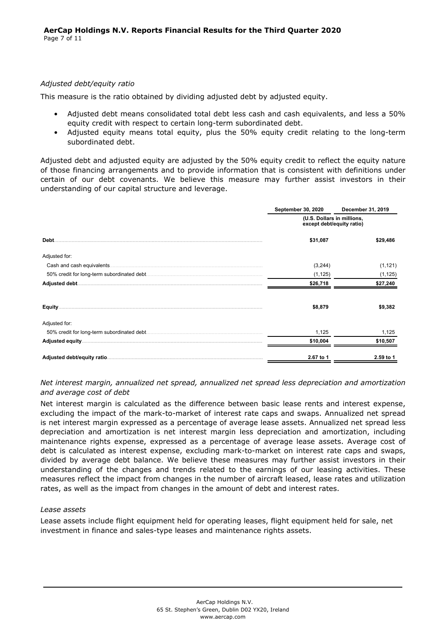#### *Adjusted debt/equity ratio*

This measure is the ratio obtained by dividing adjusted debt by adjusted equity.

- Adjusted debt means consolidated total debt less cash and cash equivalents, and less a 50% equity credit with respect to certain long-term subordinated debt.
- Adjusted equity means total equity, plus the 50% equity credit relating to the long-term subordinated debt.

Adjusted debt and adjusted equity are adjusted by the 50% equity credit to reflect the equity nature of those financing arrangements and to provide information that is consistent with definitions under certain of our debt covenants. We believe this measure may further assist investors in their understanding of our capital structure and leverage.

|               | <b>September 30, 2020</b>                               | December 31, 2019 |  |  |
|---------------|---------------------------------------------------------|-------------------|--|--|
|               | (U.S. Dollars in millions,<br>except debt/equity ratio) |                   |  |  |
| Debt.         | \$31,087                                                | \$29,486          |  |  |
| Adjusted for: |                                                         |                   |  |  |
|               | (3,244)                                                 | (1, 121)          |  |  |
|               | (1, 125)                                                | (1, 125)          |  |  |
|               | \$26,718                                                | \$27,240          |  |  |
|               | \$8,879                                                 | \$9,382           |  |  |
| Adjusted for: |                                                         |                   |  |  |
|               | 1,125                                                   | 1,125             |  |  |
|               | \$10,004                                                | \$10,507          |  |  |
|               | 2.67 to 1                                               | 2.59 to 1         |  |  |

*Net interest margin, annualized net spread, annualized net spread less depreciation and amortization and average cost of debt*

Net interest margin is calculated as the difference between basic lease rents and interest expense, excluding the impact of the mark-to-market of interest rate caps and swaps. Annualized net spread is net interest margin expressed as a percentage of average lease assets. Annualized net spread less depreciation and amortization is net interest margin less depreciation and amortization, including maintenance rights expense, expressed as a percentage of average lease assets. Average cost of debt is calculated as interest expense, excluding mark-to-market on interest rate caps and swaps, divided by average debt balance. We believe these measures may further assist investors in their understanding of the changes and trends related to the earnings of our leasing activities. These measures reflect the impact from changes in the number of aircraft leased, lease rates and utilization rates, as well as the impact from changes in the amount of debt and interest rates.

#### *Lease assets*

Lease assets include flight equipment held for operating leases, flight equipment held for sale, net investment in finance and sales-type leases and maintenance rights assets.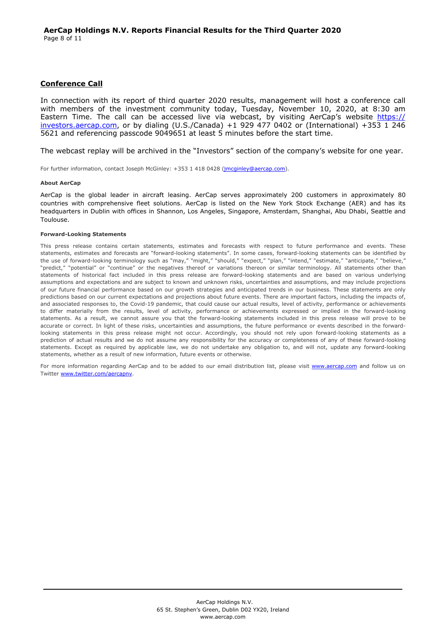#### **Conference Call**

In connection with its report of third quarter 2020 results, management will host a conference call with members of the investment community today, Tuesday, November 10, 2020, at 8:30 am Eastern Time. The call can be accessed live via webcast, by visiting AerCap's website [https://](#page-0-0)  $investors.aercap.com$ , or by dialing (U.S./Canada) +1 929 477 0402 or (International) +353 1 246 5621 and referencing passcode 9049651 at least 5 minutes before the start time.

The webcast replay will be archived in the "Investors" section of the company's website for one year.

For further information, contact Joseph McGinley: +353 1 418 0428 [\(jmcginley@aercap.com\)](jmcginley%40aercap.com).

#### **About AerCap**

AerCap is the global leader in aircraft leasing. AerCap serves approximately 200 customers in approximately 80 countries with comprehensive fleet solutions. AerCap is listed on the New York Stock Exchange (AER) and has its headquarters in Dublin with offices in Shannon, Los Angeles, Singapore, Amsterdam, Shanghai, Abu Dhabi, Seattle and Toulouse.

#### **Forward-Looking Statements**

This press release contains certain statements, estimates and forecasts with respect to future performance and events. These statements, estimates and forecasts are "forward-looking statements". In some cases, forward-looking statements can be identified by the use of forward-looking terminology such as "may," "might," "should," "expect," "plan," "intend," "estimate," "anticipate," "believe," "predict," "potential" or "continue" or the negatives thereof or variations thereon or similar terminology. All statements other than statements of historical fact included in this press release are forward-looking statements and are based on various underlying assumptions and expectations and are subject to known and unknown risks, uncertainties and assumptions, and may include projections of our future financial performance based on our growth strategies and anticipated trends in our business. These statements are only predictions based on our current expectations and projections about future events. There are important factors, including the impacts of, and associated responses to, the Covid-19 pandemic, that could cause our actual results, level of activity, performance or achievements to differ materially from the results, level of activity, performance or achievements expressed or implied in the forward-looking statements. As a result, we cannot assure you that the forward-looking statements included in this press release will prove to be accurate or correct. In light of these risks, uncertainties and assumptions, the future performance or events described in the forwardlooking statements in this press release might not occur. Accordingly, you should not rely upon forward-looking statements as a prediction of actual results and we do not assume any responsibility for the accuracy or completeness of any of these forward-looking statements. Except as required by applicable law, we do not undertake any obligation to, and will not, update any forward-looking statements, whether as a result of new information, future events or otherwise.

For more information regarding AerCap and to be added to our email distribution list, please visit [www.aercap.com](http://www.aercap.com) and follow us on Twitter [www.twitter.com/aercapnv](http://www.twitter.com/aercapnv).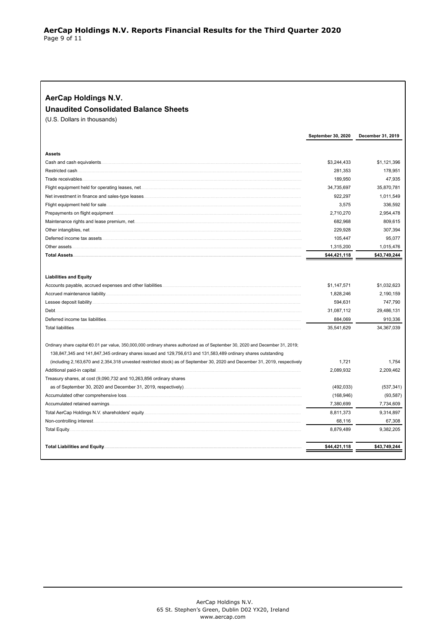## AerCap Holdings N.V. **Unaudited Consolidated Balance Sheets**

(U.S. Dollars in thousands)

|                                                                                                                                | September 30, 2020 | December 31, 2019 |
|--------------------------------------------------------------------------------------------------------------------------------|--------------------|-------------------|
|                                                                                                                                |                    |                   |
| <b>Assets</b>                                                                                                                  |                    |                   |
|                                                                                                                                | \$3,244,433        | \$1,121,396       |
|                                                                                                                                | 281,353            | 178,951           |
|                                                                                                                                | 189,950            | 47,935            |
|                                                                                                                                | 34,735,697         | 35,870,781        |
|                                                                                                                                | 922,297            | 1,011,549         |
|                                                                                                                                | 3,575              | 336,592           |
|                                                                                                                                | 2,710,270          | 2,954,478         |
|                                                                                                                                | 682,968            | 809,615           |
|                                                                                                                                | 229,928            | 307,394           |
|                                                                                                                                | 105,447            | 95,077            |
|                                                                                                                                | 1,315,200          | 1,015,476         |
|                                                                                                                                | \$44,421,118       | \$43,749,244      |
|                                                                                                                                |                    |                   |
| <b>Liabilities and Equity</b>                                                                                                  |                    |                   |
|                                                                                                                                | \$1,147,571        | \$1,032,623       |
|                                                                                                                                |                    | 2,190,159         |
|                                                                                                                                | 1,828,246          |                   |
|                                                                                                                                | 594.631            | 747.790           |
|                                                                                                                                | 31,087,112         | 29.486.131        |
|                                                                                                                                | 884,069            | 910.336           |
| Total liabilities.                                                                                                             | 35,541,629         | 34,367,039        |
|                                                                                                                                |                    |                   |
| Ordinary share capital €0.01 par value, 350,000,000 ordinary shares authorized as of September 30, 2020 and December 31, 2019; |                    |                   |
| 138,847,345 and 141,847,345 ordinary shares issued and 129,756,613 and 131,583,489 ordinary shares outstanding                 |                    |                   |
| (including 2,163,670 and 2,354,318 unvested restricted stock) as of September 30, 2020 and December 31, 2019, respectively     | 1,721              | 1.754             |
|                                                                                                                                | 2,089,932          | 2,209,462         |
| Treasury shares, at cost (9,090,732 and 10,263,856 ordinary shares                                                             |                    |                   |
|                                                                                                                                | (492, 033)         | (537, 341)        |
|                                                                                                                                | (168, 946)         | (93, 587)         |
|                                                                                                                                | 7,380,699          | 7,734,609         |
|                                                                                                                                | 8,811,373          | 9,314,897         |
|                                                                                                                                | 68,116             | 67,308            |
|                                                                                                                                | 8,879,489          | 9,382,205         |
|                                                                                                                                | \$44,421,118       | \$43,749,244      |
|                                                                                                                                |                    |                   |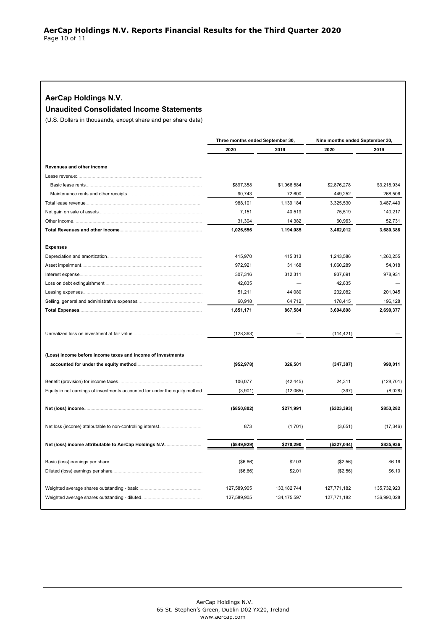### **AerCap Holdings N.V.**

#### **Unaudited Consolidated Income Statements**

(U.S. Dollars in thousands, except share and per share data)

|                                                                             | Three months ended September 30, |               | Nine months ended September 30, |             |
|-----------------------------------------------------------------------------|----------------------------------|---------------|---------------------------------|-------------|
|                                                                             | 2020                             | 2019          | 2020                            | 2019        |
| Revenues and other income                                                   |                                  |               |                                 |             |
| Lease revenue:                                                              |                                  |               |                                 |             |
| Basic lease rents.                                                          | \$897,358                        | \$1,066,584   | \$2,876,278                     | \$3,218,934 |
|                                                                             | 90,743                           | 72,600        | 449,252                         | 268,506     |
| Total lease revenue.                                                        | 988,101                          | 1,139,184     | 3,325,530                       | 3,487,440   |
|                                                                             | 7,151                            | 40,519        | 75,519                          | 140,217     |
| Other income.                                                               | 31,304                           | 14,382        | 60,963                          | 52,731      |
|                                                                             | 1,026,556                        | 1,194,085     | 3,462,012                       | 3,680,388   |
| <b>Expenses</b>                                                             |                                  |               |                                 |             |
|                                                                             | 415,970                          | 415,313       | 1,243,586                       | 1,260,255   |
|                                                                             | 972,921                          | 31,168        | 1,060,289                       | 54,018      |
| Interest expense.                                                           | 307,316                          | 312,311       | 937,691                         | 978,931     |
|                                                                             | 42,835                           |               | 42,835                          |             |
| Leasing expenses.                                                           | 51,211                           | 44,080        | 232,082                         | 201,045     |
|                                                                             | 60,918                           | 64,712        | 178,415                         | 196,128     |
|                                                                             | 1,851,171                        | 867,584       | 3,694,898                       | 2,690,377   |
|                                                                             | (128, 363)                       |               | (114, 421)                      |             |
| (Loss) income before income taxes and income of investments                 |                                  |               |                                 |             |
|                                                                             | (952, 978)                       | 326,501       | (347, 307)                      | 990,011     |
|                                                                             | 106,077                          | (42, 445)     | 24,311                          | (128, 701)  |
| Equity in net earnings of investments accounted for under the equity method | (3,901)                          | (12,065)      | (397)                           | (8,028)     |
|                                                                             | (\$850, 802)                     | \$271,991     | (\$323,393)                     | \$853,282   |
|                                                                             | 873                              | (1,701)       | (3,651)                         | (17, 346)   |
|                                                                             | (\$849,929)                      | \$270,290     | (\$327,044)                     | \$835,936   |
|                                                                             | (\$6.66)                         | \$2.03        | (\$2.56)                        | \$6.16      |
|                                                                             | (\$6.66)                         | \$2.01        | (\$2.56)                        | \$6.10      |
|                                                                             | 127,589,905                      | 133, 182, 744 | 127,771,182                     | 135,732,923 |
|                                                                             | 127,589,905                      | 134, 175, 597 | 127,771,182                     | 136,990,028 |